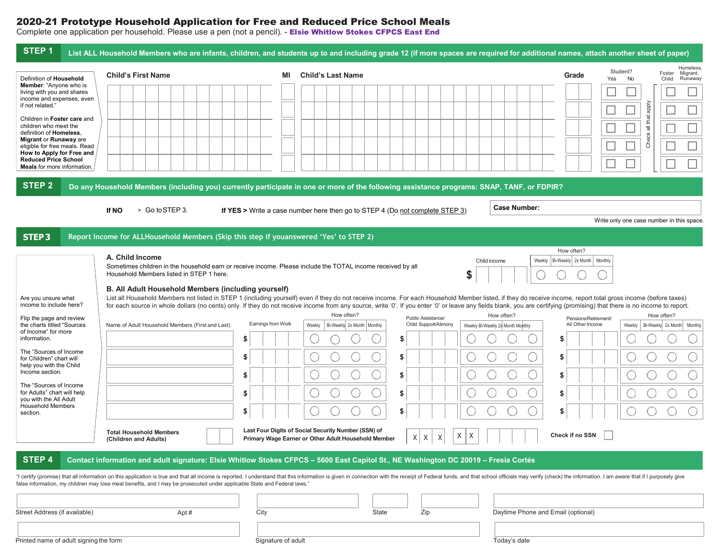## 2020-21 Prototype Household Application for Free and Reduced Price School Meals

Complete one application per household. Please use a pen (not a pencil). - Els**ie Whitlow Stokes CFPCS East End** 

| STEP <sub>1</sub>                                                                              | List ALL Household Members who are infants, children, and students up to and including grade 12 (if more spaces are required for additional names, attach another sheet of paper)                                                                                     |                                                                                                                                                                                                                                                                             |                                                                                                            |                                                                              |                                    |                       |                                                                              |  |  |  |
|------------------------------------------------------------------------------------------------|-----------------------------------------------------------------------------------------------------------------------------------------------------------------------------------------------------------------------------------------------------------------------|-----------------------------------------------------------------------------------------------------------------------------------------------------------------------------------------------------------------------------------------------------------------------------|------------------------------------------------------------------------------------------------------------|------------------------------------------------------------------------------|------------------------------------|-----------------------|------------------------------------------------------------------------------|--|--|--|
| Definition of Household                                                                        | <b>Child's First Name</b>                                                                                                                                                                                                                                             | ΜI                                                                                                                                                                                                                                                                          | <b>Child's Last Name</b>                                                                                   |                                                                              |                                    | Grade<br>Yes          | Homeless,<br>Student?<br>Migrant,<br>Foster<br><b>No</b><br>Runaway<br>Child |  |  |  |
| <b>Member:</b> "Anyone who is<br>living with you and shares<br>income and expenses, even       |                                                                                                                                                                                                                                                                       |                                                                                                                                                                                                                                                                             |                                                                                                            |                                                                              |                                    |                       |                                                                              |  |  |  |
| if not related."                                                                               |                                                                                                                                                                                                                                                                       |                                                                                                                                                                                                                                                                             |                                                                                                            |                                                                              |                                    |                       | ddde                                                                         |  |  |  |
| Children in Foster care and<br>children who meet the<br>definition of Homeless.                |                                                                                                                                                                                                                                                                       |                                                                                                                                                                                                                                                                             |                                                                                                            |                                                                              |                                    |                       | all that                                                                     |  |  |  |
| Migrant or Runaway are<br>eligible for free meals. Read                                        |                                                                                                                                                                                                                                                                       |                                                                                                                                                                                                                                                                             |                                                                                                            |                                                                              |                                    |                       | Check                                                                        |  |  |  |
| How to Apply for Free and<br><b>Reduced Price School</b><br><b>Meals</b> for more information. |                                                                                                                                                                                                                                                                       |                                                                                                                                                                                                                                                                             |                                                                                                            |                                                                              |                                    |                       |                                                                              |  |  |  |
| <b>STEP 2</b>                                                                                  | Do any Household Members (including you) currently participate in one or more of the following assistance programs: SNAP, TANF, or FDPIR?                                                                                                                             |                                                                                                                                                                                                                                                                             |                                                                                                            |                                                                              |                                    |                       |                                                                              |  |  |  |
|                                                                                                |                                                                                                                                                                                                                                                                       |                                                                                                                                                                                                                                                                             |                                                                                                            |                                                                              |                                    |                       |                                                                              |  |  |  |
|                                                                                                | > Go to STEP 3.<br>If NO                                                                                                                                                                                                                                              |                                                                                                                                                                                                                                                                             |                                                                                                            | If YES > Write a case number here then go to STEP 4 (Do not complete STEP 3) | <b>Case Number:</b>                |                       | Write only one case number in this space.                                    |  |  |  |
| <b>STEP3</b>                                                                                   | Report Income for ALLHousehold Members (Skip this step if youanswered 'Yes' to STEP 2)                                                                                                                                                                                |                                                                                                                                                                                                                                                                             |                                                                                                            |                                                                              |                                    |                       |                                                                              |  |  |  |
|                                                                                                |                                                                                                                                                                                                                                                                       |                                                                                                                                                                                                                                                                             |                                                                                                            |                                                                              |                                    | How often?            |                                                                              |  |  |  |
|                                                                                                |                                                                                                                                                                                                                                                                       | A. Child Income<br>Bi-Weekly 2x Month   Monthly<br>Weekly<br>Child income<br>Sometimes children in the household earn or receive income. Please include the TOTAL income received by all                                                                                    |                                                                                                            |                                                                              |                                    |                       |                                                                              |  |  |  |
|                                                                                                |                                                                                                                                                                                                                                                                       | Household Members listed in STEP 1 here.<br>S                                                                                                                                                                                                                               |                                                                                                            |                                                                              |                                    |                       |                                                                              |  |  |  |
| Are you unsure what<br>income to include here?                                                 | B. All Adult Household Members (including yourself)<br>List all Household Members not listed in STEP 1 (including yourself) even if they do not receive income. For each Household Member listed, if they do receive income, report total gross income (before taxes) |                                                                                                                                                                                                                                                                             |                                                                                                            |                                                                              |                                    |                       |                                                                              |  |  |  |
| Flip the page and review                                                                       |                                                                                                                                                                                                                                                                       | for each source in whole dollars (no cents) only. If they do not receive income from any source, write '0'. If you enter '0' or leave any fields blank, you are certifying (promising) that there is no income to report.<br>How often?<br>How often?<br>Public Assistance/ |                                                                                                            |                                                                              |                                    |                       | How often?                                                                   |  |  |  |
| the charts titled "Sources"<br>of Income" for more<br>information.                             | Name of Adult Household Members (First and Last)                                                                                                                                                                                                                      | Eamings from Work<br>S                                                                                                                                                                                                                                                      | Bi-Weekly 2x Month   Monthly<br>Weekly                                                                     | Child Support/Alimony<br>S                                                   | Weekly Bi-Weekly 2x Month Monthly  | All Other Income<br>S | Bi-Weekly 2x Month Monthly<br>Weekly                                         |  |  |  |
| The "Sources of Income                                                                         |                                                                                                                                                                                                                                                                       | \$                                                                                                                                                                                                                                                                          |                                                                                                            | \$                                                                           |                                    | \$                    |                                                                              |  |  |  |
| for Children" chart will<br>help you with the Child<br>Income section.                         |                                                                                                                                                                                                                                                                       |                                                                                                                                                                                                                                                                             |                                                                                                            |                                                                              |                                    |                       |                                                                              |  |  |  |
| The "Sources of Income"                                                                        |                                                                                                                                                                                                                                                                       | \$                                                                                                                                                                                                                                                                          |                                                                                                            | \$                                                                           |                                    | \$                    |                                                                              |  |  |  |
| for Adults" chart will help<br>you with the All Adult<br><b>Household Members</b>              |                                                                                                                                                                                                                                                                       | S                                                                                                                                                                                                                                                                           |                                                                                                            | S                                                                            |                                    | \$                    |                                                                              |  |  |  |
| section.                                                                                       |                                                                                                                                                                                                                                                                       | \$                                                                                                                                                                                                                                                                          |                                                                                                            | S                                                                            |                                    | \$                    |                                                                              |  |  |  |
|                                                                                                | <b>Total Household Members</b><br>(Children and Adults)                                                                                                                                                                                                               |                                                                                                                                                                                                                                                                             | Last Four Digits of Social Security Number (SSN) of<br>Primary Wage Earner or Other Adult Household Member | Χ<br> X <br>Χ                                                                | X<br>Х                             | Check if no SSN       |                                                                              |  |  |  |
| STEP 4                                                                                         | Contact information and adult signature: Elsie Whitlow Stokes CFPCS - 5600 East Capitol St., NE Washington DC 20019 - Fresia Cortés                                                                                                                                   |                                                                                                                                                                                                                                                                             |                                                                                                            |                                                                              |                                    |                       |                                                                              |  |  |  |
|                                                                                                | "I certify (promise) that all information on this application is true and that all income is reported. I understand that this information is given in connection with the receipt of Federal funds, and that school officials                                         |                                                                                                                                                                                                                                                                             |                                                                                                            |                                                                              |                                    |                       |                                                                              |  |  |  |
|                                                                                                | false information, my children may lose meal benefits, and I may be prosecuted under applicable State and Federal laws."                                                                                                                                              |                                                                                                                                                                                                                                                                             |                                                                                                            |                                                                              |                                    |                       |                                                                              |  |  |  |
|                                                                                                |                                                                                                                                                                                                                                                                       |                                                                                                                                                                                                                                                                             |                                                                                                            |                                                                              |                                    |                       |                                                                              |  |  |  |
| Street Address (if available)                                                                  | Apt#                                                                                                                                                                                                                                                                  | City                                                                                                                                                                                                                                                                        |                                                                                                            | State<br>Zip                                                                 | Daytime Phone and Email (optional) |                       |                                                                              |  |  |  |
| Printed name of adult signing the form                                                         |                                                                                                                                                                                                                                                                       | Signature of adult                                                                                                                                                                                                                                                          |                                                                                                            |                                                                              | Today's date                       |                       |                                                                              |  |  |  |